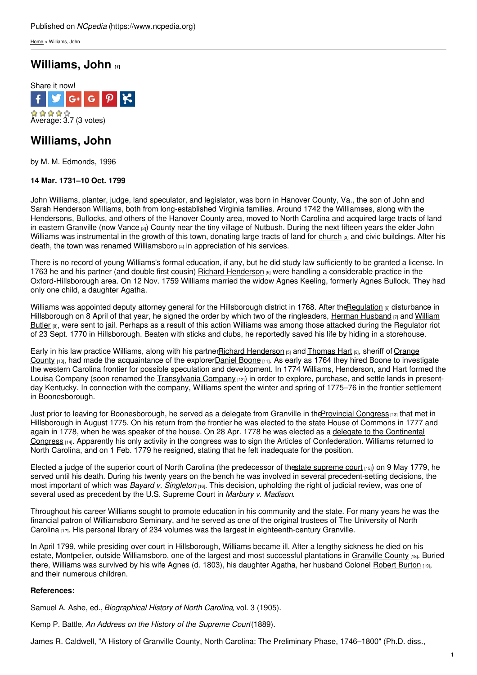[Home](https://www.ncpedia.org/) > Williams, John

## **[Williams,](https://www.ncpedia.org/biography/williams-john) John [1]**



# **Williams, John**

by M. M. Edmonds, 1996

### **14 Mar. 1731–10 Oct. 1799**

John Williams, planter, judge, land speculator, and legislator, was born in Hanover County, Va., the son of John and Sarah Henderson Williams, both from [long-established](http://www.social9.com) Virginia families. Around 1742 the Williamses, along with the Hendersons, Bullocks, and others of the Hanover County area, moved to North Carolina and acquired large tracts of land in eastern Granville (now [Vance](https://www.ncpedia.org/geography/vance) [2]) County near the tiny village of Nutbush. During the next fifteen years the elder John Williams was instrumental in the growth of this town, donating large tracts of land for [church](https://www.ncpedia.org/st-johns-church)  $_{[3]}$  and civic buildings. After his death, the town was renamed [Williamsboro](https://www.ncdcr.gov/about/history/division-historical-resources/nc-highway-historical-marker-program/Markers.aspx?sp=Markers&sv=G-20)  $[4]$  in appreciation of his services.

There is no record of young Williams's formal education, if any, but he did study law sufficiently to be granted a license. In 1763 he and his partner (and double first cousin) Richard [Henderson](https://www.ncpedia.org/biography/henderson-richard) [5] were handling a considerable practice in the Oxford-Hillsborough area. On 12 Nov. 1759 Williams married the widow Agnes Keeling, formerly Agnes Bullock. They had only one child, a daughter Agatha.

Williams was appointed deputy attorney general for the Hillsborough district in 1768. After the Regulation [6] disturbance in [Hillsborough](https://www.ncpedia.org/biography/butler-william) on 8 April of that year, he signed the order by which two of the ringleaders, Herman [Husband](https://www.ncpedia.org/biography/husband-or-husbands)  $\eta$  and William Butler [8], were sent to jail. Perhaps as a result of this action Williams was among those attacked during the Regulator riot of 23 Sept. 1770 in Hillsborough. Beaten with sticks and clubs, he reportedly saved his life by hiding in a storehouse.

Early in his law practice Williams, along with his [partnerRichard](https://www.ncpedia.org/geography/orange) [Henderson](https://www.ncpedia.org/biography/henderson-richard) [5] and [Thomas](https://www.ncpedia.org/biography/hart-thomas) Hart [9], sheriff of Orange County  $[10]$ , had made the acquaintance of the explorer Daniel [Boone](https://www.ncpedia.org/biography/boone-daniel)  $[11]$ . As early as 1764 they hired Boone to investigate the western Carolina frontier for possible speculation and development. In 1774 Williams, Henderson, and Hart formed the Louisa Company (soon renamed the [Transylvania](https://www.ncpedia.org/transylvania-company) Company [12]) in order to explore, purchase, and settle lands in presentday Kentucky. In connection with the company, Williams spent the winter and spring of 1775–76 in the frontier settlement in Boonesborough.

Just prior to leaving for Boonesborough, he served as a delegate from Granville in the Provincial Congress [13] that met in Hillsborough in August 1775. On his return from the frontier he was elected to the state House of Commons in 1777 and again in 1778, when he was speaker of the house. On 28 Apr. 1778 he was elected as a delegate to the Continental Congress <sub>[14]</sub>. Apparently his only activity in the congress was to sign the Articles of [Confederation.](https://www.ncpedia.org/history/usrevolution/continental-congress) Williams returned to North Carolina, and on 1 Feb. 1779 he resigned, stating that he felt inadequate for the position.

Elected a judge of the superior court of North Carolina (the predecessor of thestate [supreme](https://www.ncpedia.org/supreme-court-north-carolina) court [15]) on 9 May 1779, he served until his death. During his twenty years on the bench he was involved in several precedent-setting decisions, the most important of which was *Bayard v. [Singleton](https://www.ncpedia.org/bayard-v-singleton)* [16]. This decision, upholding the right of judicial review, was one of several used as precedent by the U.S. Supreme Court in *Marbury v. Madison*.

Throughout his career Williams sought to promote education in his community and the state. For many years he was the financial patron of Williamsboro Seminary, and he served as one of the original trustees of The University of North Carolina [17]. His personal library of 234 volumes was the largest in [eighteenth-century](https://www.ncpedia.org/university-north-carolina-chapel-hi) Granville.

In April 1799, while presiding over court in Hillsborough, Williams became ill. After a lengthy sickness he died on his estate, Montpelier, outside Williamsboro, one of the largest and most successful plantations in [Granville](https://www.ncpedia.org/geography/granville) County [18]. Buried there, Williams was survived by his wife Agnes (d. 1803), his daughter Agatha, her husband Colonel [Robert](https://www.ncpedia.org/biography/burton-robert) Burton [19], and their numerous children.

### **References:**

Samuel A. Ashe, ed., *Biographical History of North Carolina*, vol. 3 (1905).

Kemp P. Battle, *An Address on the History of the Supreme Court*(1889).

James R. Caldwell, "A History of Granville County, North Carolina: The Preliminary Phase, 1746–1800" (Ph.D. diss.,